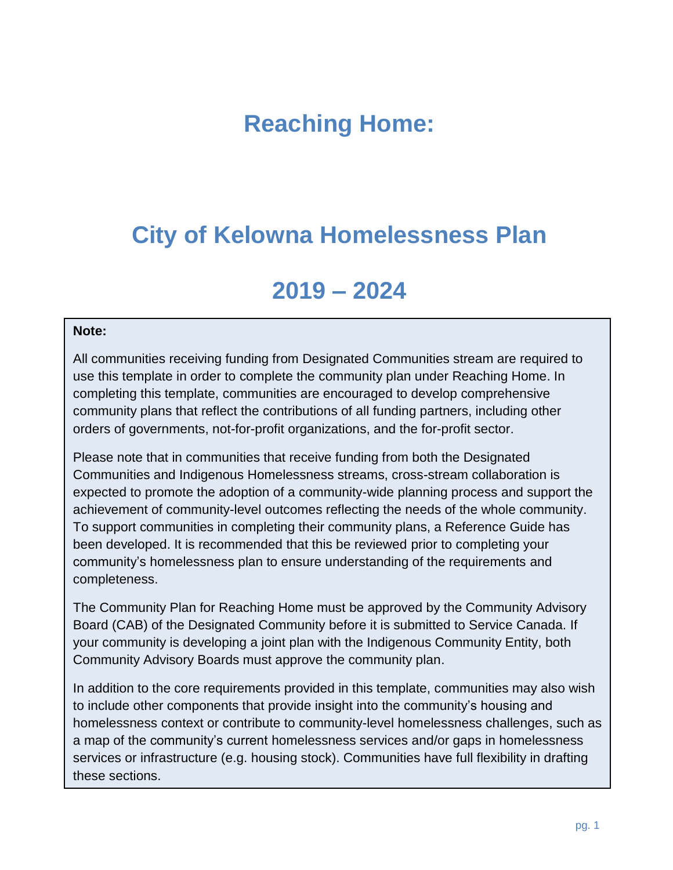# **Reaching Home:**

# **City of Kelowna Homelessness Plan**

# **2019 – 2024**

#### **Note:**

All communities receiving funding from Designated Communities stream are required to use this template in order to complete the community plan under Reaching Home. In completing this template, communities are encouraged to develop comprehensive community plans that reflect the contributions of all funding partners, including other orders of governments, not-for-profit organizations, and the for-profit sector.

Please note that in communities that receive funding from both the Designated Communities and Indigenous Homelessness streams, cross-stream collaboration is expected to promote the adoption of a community-wide planning process and support the achievement of community-level outcomes reflecting the needs of the whole community. To support communities in completing their community plans, a Reference Guide has been developed. It is recommended that this be reviewed prior to completing your community's homelessness plan to ensure understanding of the requirements and completeness.

The Community Plan for Reaching Home must be approved by the Community Advisory Board (CAB) of the Designated Community before it is submitted to Service Canada. If your community is developing a joint plan with the Indigenous Community Entity, both Community Advisory Boards must approve the community plan.

In addition to the core requirements provided in this template, communities may also wish to include other components that provide insight into the community's housing and homelessness context or contribute to community-level homelessness challenges, such as a map of the community's current homelessness services and/or gaps in homelessness services or infrastructure (e.g. housing stock). Communities have full flexibility in drafting these sections.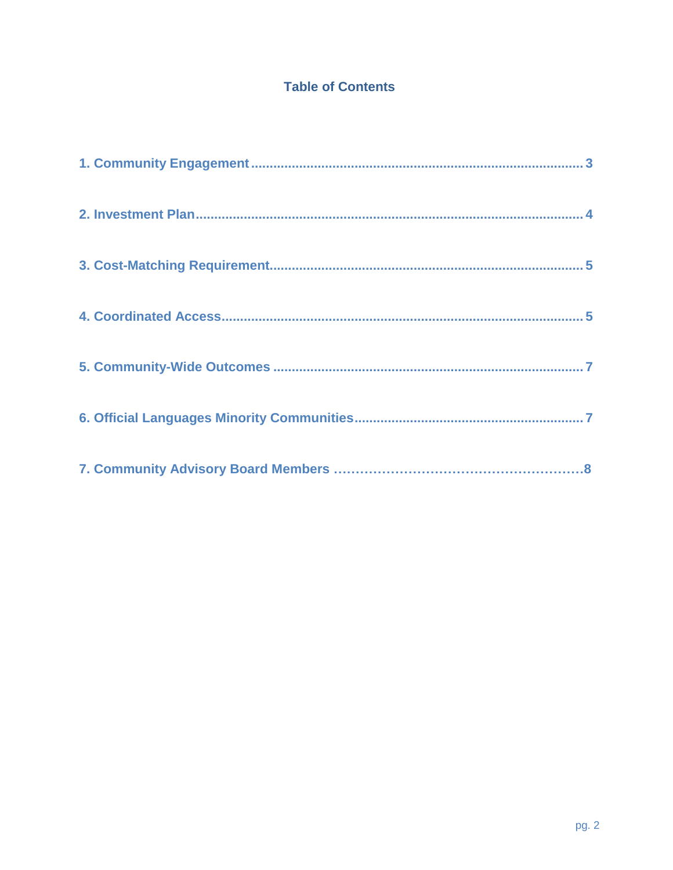# **Table of Contents**

<span id="page-1-0"></span>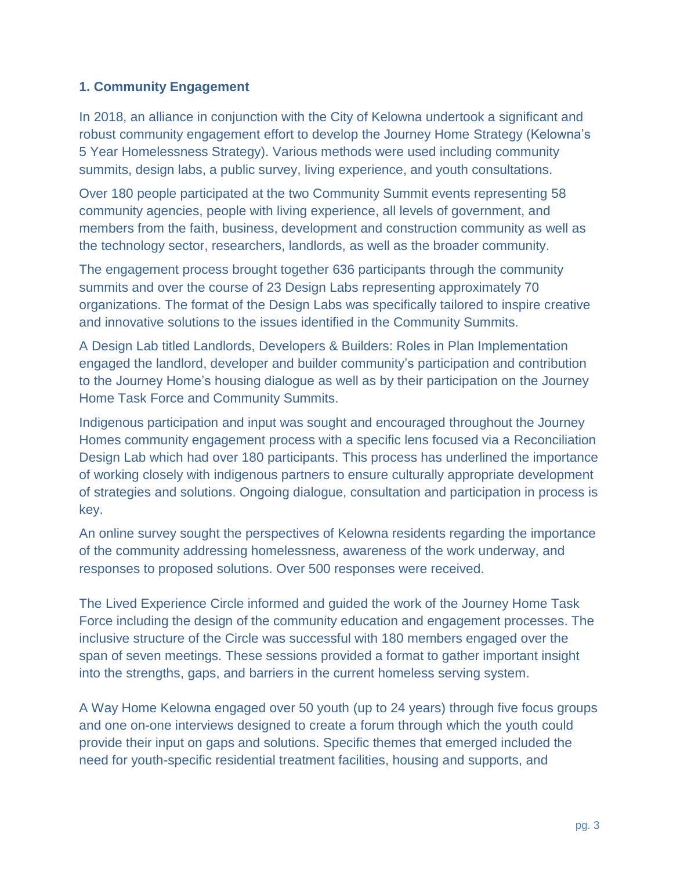### **1. Community Engagement**

In 2018, an alliance in conjunction with the City of Kelowna undertook a significant and robust community engagement effort to develop the Journey Home Strategy (Kelowna's 5 Year Homelessness Strategy). Various methods were used including community summits, design labs, a public survey, living experience, and youth consultations.

Over 180 people participated at the two Community Summit events representing 58 community agencies, people with living experience, all levels of government, and members from the faith, business, development and construction community as well as the technology sector, researchers, landlords, as well as the broader community.

The engagement process brought together 636 participants through the community summits and over the course of 23 Design Labs representing approximately 70 organizations. The format of the Design Labs was specifically tailored to inspire creative and innovative solutions to the issues identified in the Community Summits.

A Design Lab titled Landlords, Developers & Builders: Roles in Plan Implementation engaged the landlord, developer and builder community's participation and contribution to the Journey Home's housing dialogue as well as by their participation on the Journey Home Task Force and Community Summits.

Indigenous participation and input was sought and encouraged throughout the Journey Homes community engagement process with a specific lens focused via a Reconciliation Design Lab which had over 180 participants. This process has underlined the importance of working closely with indigenous partners to ensure culturally appropriate development of strategies and solutions. Ongoing dialogue, consultation and participation in process is key.

An online survey sought the perspectives of Kelowna residents regarding the importance of the community addressing homelessness, awareness of the work underway, and responses to proposed solutions. Over 500 responses were received.

The Lived Experience Circle informed and guided the work of the Journey Home Task Force including the design of the community education and engagement processes. The inclusive structure of the Circle was successful with 180 members engaged over the span of seven meetings. These sessions provided a format to gather important insight into the strengths, gaps, and barriers in the current homeless serving system.

A Way Home Kelowna engaged over 50 youth (up to 24 years) through five focus groups and one on-one interviews designed to create a forum through which the youth could provide their input on gaps and solutions. Specific themes that emerged included the need for youth-specific residential treatment facilities, housing and supports, and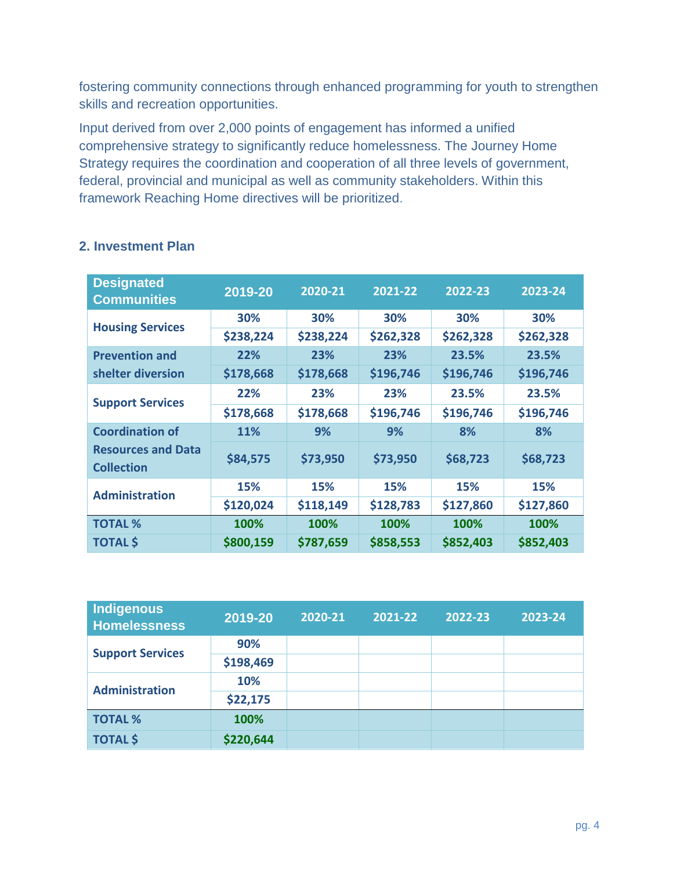fostering community connections through enhanced programming for youth to strengthen skills and recreation opportunities.

Input derived from over 2,000 points of engagement has informed a unified comprehensive strategy to significantly reduce homelessness. The Journey Home Strategy requires the coordination and cooperation of all three levels of government, federal, provincial and municipal as well as community stakeholders. Within this framework Reaching Home directives will be prioritized.

| <b>Designated</b><br><b>Communities</b>        | 2019-20   | 2020-21    | 2021-22   | 2022-23    | 2023-24    |
|------------------------------------------------|-----------|------------|-----------|------------|------------|
|                                                | 30%       | 30%        | 30%       | 30%        | 30%        |
| <b>Housing Services</b>                        | \$238,224 | \$238,224  | \$262,328 | \$262,328  | \$262,328  |
| <b>Prevention and</b>                          | 22%       | 23%        | 23%       | 23.5%      | 23.5%      |
| shelter diversion                              | \$178,668 | \$178,668  | \$196,746 | \$196,746  | \$196,746  |
| <b>Support Services</b>                        | 22%       | 23%        | 23%       | 23.5%      | 23.5%      |
|                                                | \$178,668 | \$178,668  | \$196,746 | \$196,746  | \$196,746  |
| <b>Coordination of</b>                         | 11%       | 9%         | 9%        | 8%         | 8%         |
| <b>Resources and Data</b><br><b>Collection</b> | \$84,575  | \$73,950   | \$73,950  | \$68,723   | \$68,723   |
| <b>Administration</b>                          | 15%       | <b>15%</b> | 15%       | <b>15%</b> | <b>15%</b> |
|                                                | \$120,024 | \$118,149  | \$128,783 | \$127,860  | \$127,860  |
| <b>TOTAL %</b>                                 | 100%      | 100%       | 100%      | 100%       | 100%       |
| <b>TOTAL \$</b>                                | \$800,159 | \$787,659  | \$858,553 | \$852,403  | \$852,403  |

## <span id="page-3-0"></span>**2. Investment Plan**

<span id="page-3-1"></span>

| <b>Indigenous</b><br><b>Homelessness</b> | 2019-20   | 2020-21 | 2021-22 | 2022-23 | 2023-24 |
|------------------------------------------|-----------|---------|---------|---------|---------|
|                                          | 90%       |         |         |         |         |
| <b>Support Services</b>                  | \$198,469 |         |         |         |         |
| <b>Administration</b>                    | 10%       |         |         |         |         |
|                                          | \$22,175  |         |         |         |         |
| <b>TOTAL %</b>                           | 100%      |         |         |         |         |
| <b>TOTAL \$</b>                          | \$220,644 |         |         |         |         |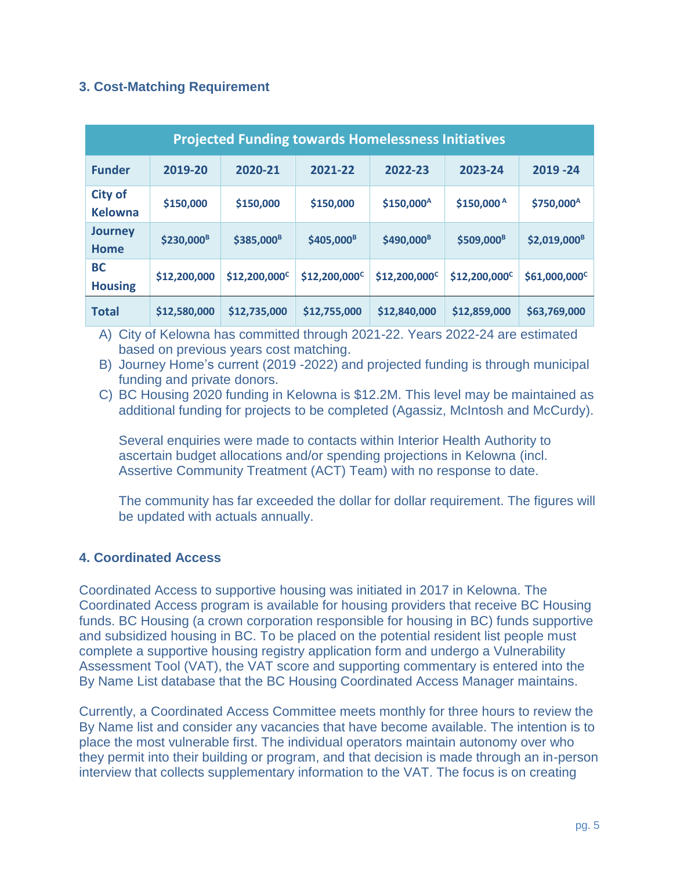## **3. Cost-Matching Requirement**

| <b>Projected Funding towards Homelessness Initiatives</b> |                        |                        |                           |                        |                           |                        |
|-----------------------------------------------------------|------------------------|------------------------|---------------------------|------------------------|---------------------------|------------------------|
| <b>Funder</b>                                             | 2019-20                | 2020-21                | 2021-22                   | 2022-23                | 2023-24                   | 2019 - 24              |
| <b>City of</b><br><b>Kelowna</b>                          | \$150,000              | \$150,000              | \$150,000                 | \$150,000 <sup>A</sup> | \$150,000A                | \$750,000 <sup>A</sup> |
| <b>Journey</b><br><b>Home</b>                             | \$230,000 <sup>B</sup> | \$385,000 <sup>B</sup> | \$405,000 <sup>B</sup>    | \$490,000 <sup>B</sup> | \$509,000 <sup>B</sup>    | $$2,019,000^8$         |
| <b>BC</b><br><b>Housing</b>                               | \$12,200,000           | $$12,200,000^{\circ}$$ | \$12,200,000 <sup>c</sup> | $$12,200,000^{\circ}$$ | \$12,200,000 <sup>c</sup> | $$61,000,000^{\circ}$$ |
| <b>Total</b>                                              | \$12,580,000           | \$12,735,000           | \$12,755,000              | \$12,840,000           | \$12,859,000              | \$63,769,000           |

<span id="page-4-0"></span>A) City of Kelowna has committed through 2021-22. Years 2022-24 are estimated based on previous years cost matching.

B) Journey Home's current (2019 -2022) and projected funding is through municipal funding and private donors.

C) BC Housing 2020 funding in Kelowna is \$12.2M. This level may be maintained as additional funding for projects to be completed (Agassiz, McIntosh and McCurdy).

Several enquiries were made to contacts within Interior Health Authority to ascertain budget allocations and/or spending projections in Kelowna (incl. Assertive Community Treatment (ACT) Team) with no response to date.

The community has far exceeded the dollar for dollar requirement. The figures will be updated with actuals annually.

## **4. Coordinated Access**

Coordinated Access to supportive housing was initiated in 2017 in Kelowna. The Coordinated Access program is available for housing providers that receive BC Housing funds. BC Housing (a crown corporation responsible for housing in BC) funds supportive and subsidized housing in BC. To be placed on the potential resident list people must complete a supportive housing registry application form and undergo a Vulnerability Assessment Tool (VAT), the VAT score and supporting commentary is entered into the By Name List database that the BC Housing Coordinated Access Manager maintains.

Currently, a Coordinated Access Committee meets monthly for three hours to review the By Name list and consider any vacancies that have become available. The intention is to place the most vulnerable first. The individual operators maintain autonomy over who they permit into their building or program, and that decision is made through an in-person interview that collects supplementary information to the VAT. The focus is on creating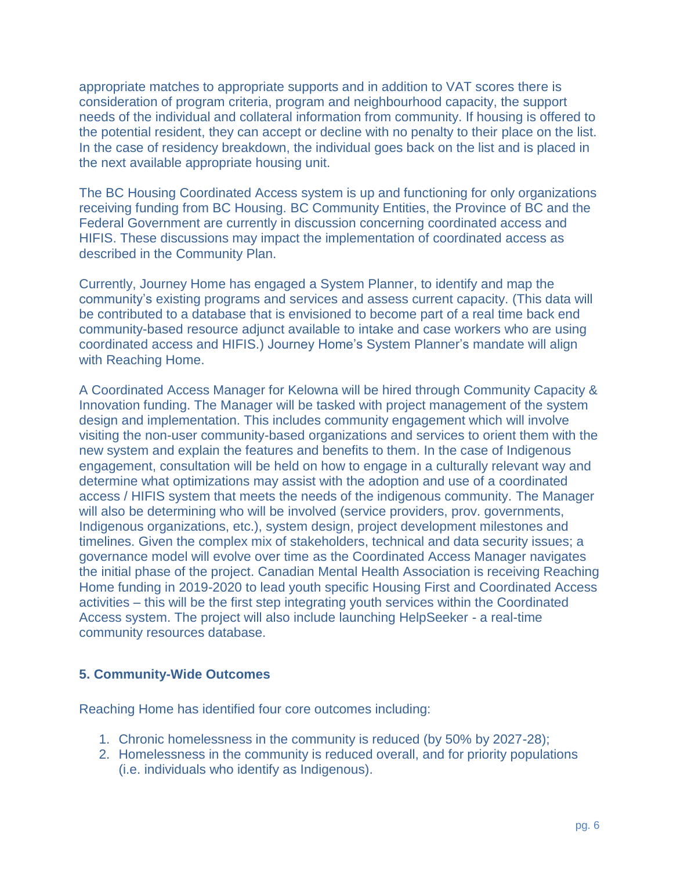appropriate matches to appropriate supports and in addition to VAT scores there is consideration of program criteria, program and neighbourhood capacity, the support needs of the individual and collateral information from community. If housing is offered to the potential resident, they can accept or decline with no penalty to their place on the list. In the case of residency breakdown, the individual goes back on the list and is placed in the next available appropriate housing unit.

The BC Housing Coordinated Access system is up and functioning for only organizations receiving funding from BC Housing. BC Community Entities, the Province of BC and the Federal Government are currently in discussion concerning coordinated access and HIFIS. These discussions may impact the implementation of coordinated access as described in the Community Plan.

Currently, Journey Home has engaged a System Planner, to identify and map the community's existing programs and services and assess current capacity. (This data will be contributed to a database that is envisioned to become part of a real time back end community-based resource adjunct available to intake and case workers who are using coordinated access and HIFIS.) Journey Home's System Planner's mandate will align with Reaching Home.

A Coordinated Access Manager for Kelowna will be hired through Community Capacity & Innovation funding. The Manager will be tasked with project management of the system design and implementation. This includes community engagement which will involve visiting the non-user community-based organizations and services to orient them with the new system and explain the features and benefits to them. In the case of Indigenous engagement, consultation will be held on how to engage in a culturally relevant way and determine what optimizations may assist with the adoption and use of a coordinated access / HIFIS system that meets the needs of the indigenous community. The Manager will also be determining who will be involved (service providers, prov. governments, Indigenous organizations, etc.), system design, project development milestones and timelines. Given the complex mix of stakeholders, technical and data security issues; a governance model will evolve over time as the Coordinated Access Manager navigates the initial phase of the project. Canadian Mental Health Association is receiving Reaching Home funding in 2019-2020 to lead youth specific Housing First and Coordinated Access activities – this will be the first step integrating youth services within the Coordinated Access system. The project will also include launching HelpSeeker - a real-time community resources database.

## **5. Community-Wide Outcomes**

Reaching Home has identified four core outcomes including:

- 1. Chronic homelessness in the community is reduced (by 50% by 2027-28);
- 2. Homelessness in the community is reduced overall, and for priority populations (i.e. individuals who identify as Indigenous).